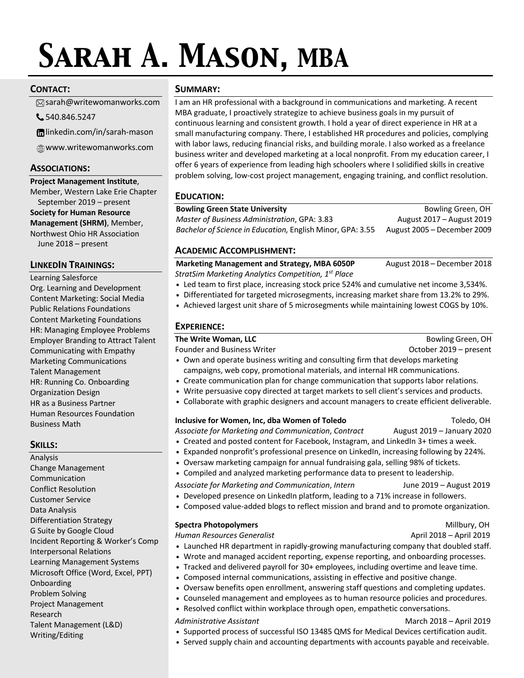# *Sarah A. Mason, MBA*

# **CONTACT:**

sarah@writewomanworks.com

540.846.5247

linkedin.com/in/sarah-mason

www.writewomanworks.com

# **ASSOCIATIONS:**

**Project Management Institute**, Member, Western Lake Erie Chapter September 2019 – present **Society for Human Resource Management (SHRM)**, Member, Northwest Ohio HR Association June 2018 – present

# **LINKEDIN TRAININGS:**

Learning Salesforce Org. Learning and Development Content Marketing: Social Media Public Relations Foundations Content Marketing Foundations HR: Managing Employee Problems Employer Branding to Attract Talent Communicating with Empathy Marketing Communications Talent Management HR: Running Co. Onboarding Organization Design HR as a Business Partner Human Resources Foundation Business Math

# **SKILLS:**

Analysis Change Management Communication Conflict Resolution Customer Service Data Analysis Differentiation Strategy G Suite by Google Cloud Incident Reporting & Worker's Comp Interpersonal Relations Learning Management Systems Microsoft Office (Word, Excel, PPT) Onboarding Problem Solving Project Management Research Talent Management (L&D) Writing/Editing

# **SUMMARY:**

I am an HR professional with a background in communications and marketing. A recent MBA graduate, I proactively strategize to achieve business goals in my pursuit of continuous learning and consistent growth. I hold a year of direct experience in HR at a small manufacturing company. There, I established HR procedures and policies, complying with labor laws, reducing financial risks, and building morale. I also worked as a freelance business writer and developed marketing at a local nonprofit. From my education career, I offer 6 years of experience from leading high schoolers where I solidified skills in creative problem solving, low-cost project management, engaging training, and conflict resolution.

# **EDUCATION:**

# **Bowling Green State University Bowling Green, OH**

*Master of Business Administration*, GPA: 3.83 August 2017 – August 2019 *Bachelor of Science in Education,* English Minor, GPA: 3.55 August 2005 – December 2009

# **ACADEMIC ACCOMPLISHMENT:**

**Marketing Management and Strategy, MBA 6050P** August 2018 – December 2018 *StratSim Marketing Analytics Competition, 1st Place*

- **•** Led team to first place, increasing stock price 524% and cumulative net income 3,534%.
- **•** Differentiated for targeted microsegments, increasing market share from 13.2% to 29%.
- **•** Achieved largest unit share of 5 microsegments while maintaining lowest COGS by 10%.

# **EXPERIENCE:**

| The Write Woman, LLC                                                                                                                                                                                                              | Bowling Green, OH      |  |
|-----------------------------------------------------------------------------------------------------------------------------------------------------------------------------------------------------------------------------------|------------------------|--|
| <b>Founder and Business Writer</b>                                                                                                                                                                                                | October 2019 – present |  |
| • Own and operate business writing and consulting firm that develops marketing                                                                                                                                                    |                        |  |
| campaigns, web copy, promotional materials, and internal HR communications.                                                                                                                                                       |                        |  |
| $\mathbf{r}$ , and the contract of the contract of the contract of the contract of the contract of the contract of the contract of the contract of the contract of the contract of the contract of the contract of the contract o |                        |  |

- **•** Create communication plan for change communication that supports labor relations.
- **•** Write persuasive copy directed at target markets to sell client's services and products.
- **•** Collaborate with graphic designers and account managers to create efficient deliverable.

#### **Inclusive for Women, Inc, dba Women of Toledo** Toledo, OH

*Associate for Marketing and Communication*, *Contract* August 2019 – January 2020

- **•** Created and posted content for Facebook, Instagram, and LinkedIn 3+ times a week.
- **•** Expanded nonprofit's professional presence on LinkedIn, increasing following by 224%.
- **•** Oversaw marketing campaign for annual fundraising gala, selling 98% of tickets.
	- **•** Compiled and analyzed marketing performance data to present to leadership.
- *Associate for Marketing and Communication*, *Intern* June 2019 August 2019
- **•** Developed presence on LinkedIn platform, leading to a 71% increase in followers.
- **•** Composed value-added blogs to reflect mission and brand and to promote organization.

# **Spectra Photopolymers Millbury, OH**

*Human Resources Generalist* April 2018 – April 2019

- **•** Launched HR department in rapidly-growing manufacturing company that doubled staff.
- **•** Wrote and managed accident reporting, expense reporting, and onboarding processes.
- **•** Tracked and delivered payroll for 30+ employees, including overtime and leave time.
- **•** Composed internal communications, assisting in effective and positive change.
- **•** Oversaw benefits open enrollment, answering staff questions and completing updates.
- **•** Counseled management and employees as to human resource policies and procedures.
- **•** Resolved conflict within workplace through open, empathetic conversations.
- *Administrative Assistant* March 2018 April 2019
- **•** Supported process of successful ISO 13485 QMS for Medical Devices certification audit.
- **•** Served supply chain and accounting departments with accounts payable and receivable.